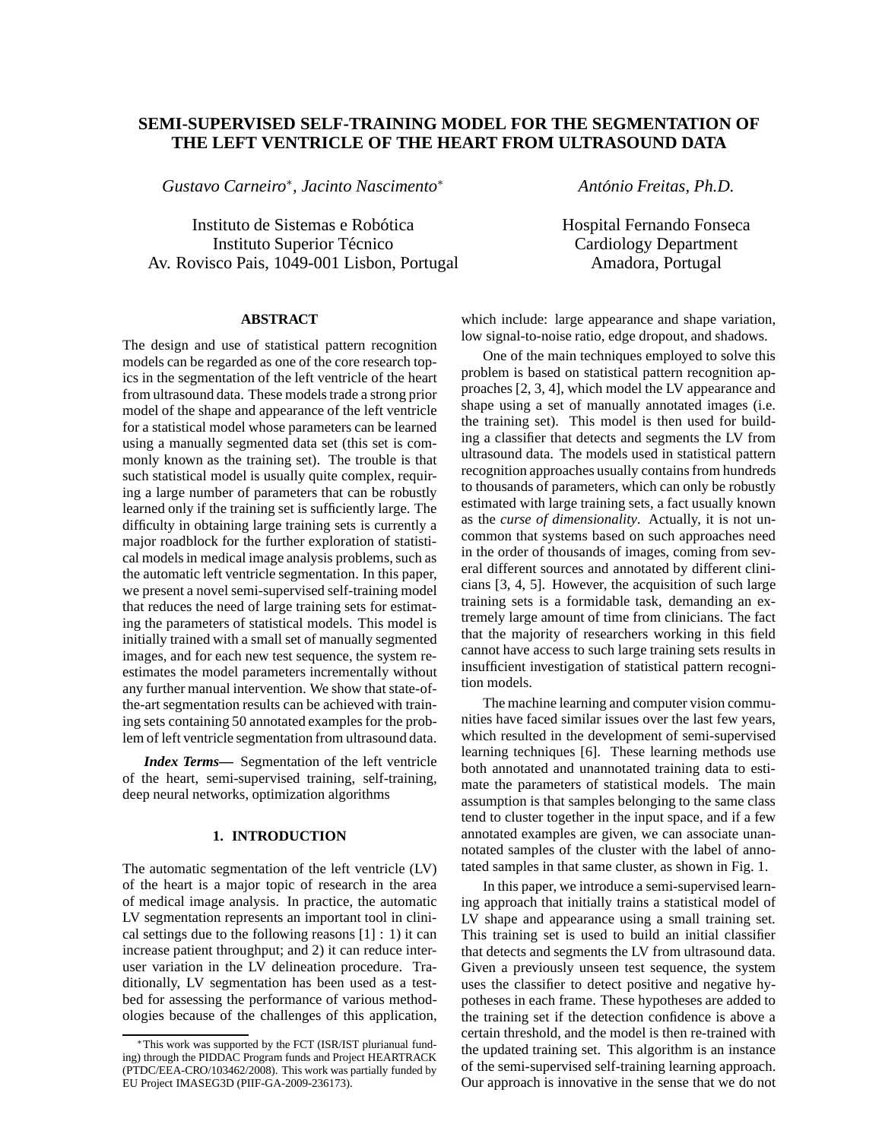# **SEMI-SUPERVISED SELF-TRAINING MODEL FOR THE SEGMENTATION OF THE LEFT VENTRICLE OF THE HEART FROM ULTRASOUND DATA**

*Gustavo Carneiro*<sup>∗</sup> *, Jacinto Nascimento*<sup>∗</sup>

Instituto de Sistemas e Robótica Instituto Superior Técnico Av. Rovisco Pais, 1049-001 Lisbon, Portugal

Hospital Fernando Fonseca Cardiology Department Amadora, Portugal

*Antonio Freitas, Ph.D. ´*

#### **ABSTRACT**

The design and use of statistical pattern recognition models can be regarded as one of the core research topics in the segmentation of the left ventricle of the heart from ultrasound data. These models trade a strong prior model of the shape and appearance of the left ventricle for a statistical model whose parameters can be learned using a manually segmented data set (this set is commonly known as the training set). The trouble is that such statistical model is usually quite complex, requiring a large number of parameters that can be robustly learned only if the training set is sufficiently large. The difficulty in obtaining large training sets is currently a major roadblock for the further exploration of statistical models in medical image analysis problems, such as the automatic left ventricle segmentation. In this paper, we present a novel semi-supervised self-training model that reduces the need of large training sets for estimating the parameters of statistical models. This model is initially trained with a small set of manually segmented images, and for each new test sequence, the system reestimates the model parameters incrementally without any further manual intervention. We show that state-ofthe-art segmentation results can be achieved with training sets containing 50 annotated examples for the problem of left ventricle segmentation from ultrasound data.

*Index Terms***—** Segmentation of the left ventricle of the heart, semi-supervised training, self-training, deep neural networks, optimization algorithms

## **1. INTRODUCTION**

The automatic segmentation of the left ventricle (LV) of the heart is a major topic of research in the area of medical image analysis. In practice, the automatic LV segmentation represents an important tool in clinical settings due to the following reasons  $[1] : 1$ ) it can increase patient throughput; and 2) it can reduce interuser variation in the LV delineation procedure. Traditionally, LV segmentation has been used as a testbed for assessing the performance of various methodologies because of the challenges of this application,

which include: large appearance and shape variation, low signal-to-noise ratio, edge dropout, and shadows.

One of the main techniques employed to solve this problem is based on statistical pattern recognition approaches [2, 3, 4], which model the LV appearance and shape using a set of manually annotated images (i.e. the training set). This model is then used for building a classifier that detects and segments the LV from ultrasound data. The models used in statistical pattern recognition approaches usually contains from hundreds to thousands of parameters, which can only be robustly estimated with large training sets, a fact usually known as the *curse of dimensionality*. Actually, it is not uncommon that systems based on such approaches need in the order of thousands of images, coming from several different sources and annotated by different clinicians [3, 4, 5]. However, the acquisition of such large training sets is a formidable task, demanding an extremely large amount of time from clinicians. The fact that the majority of researchers working in this field cannot have access to such large training sets results in insufficient investigation of statistical pattern recognition models.

The machine learning and computer vision communities have faced similar issues over the last few years, which resulted in the development of semi-supervised learning techniques [6]. These learning methods use both annotated and unannotated training data to estimate the parameters of statistical models. The main assumption is that samples belonging to the same class tend to cluster together in the input space, and if a few annotated examples are given, we can associate unannotated samples of the cluster with the label of annotated samples in that same cluster, as shown in Fig. 1.

In this paper, we introduce a semi-supervised learning approach that initially trains a statistical model of LV shape and appearance using a small training set. This training set is used to build an initial classifier that detects and segments the LV from ultrasound data. Given a previously unseen test sequence, the system uses the classifier to detect positive and negative hypotheses in each frame. These hypotheses are added to the training set if the detection confidence is above a certain threshold, and the model is then re-trained with the updated training set. This algorithm is an instance of the semi-supervised self-training learning approach. Our approach is innovative in the sense that we do not

<sup>∗</sup>This work was supported by the FCT (ISR/IST plurianual funding) through the PIDDAC Program funds and Project HEARTRACK (PTDC/EEA-CRO/103462/2008). This work was partially funded by EU Project IMASEG3D (PIIF-GA-2009-236173).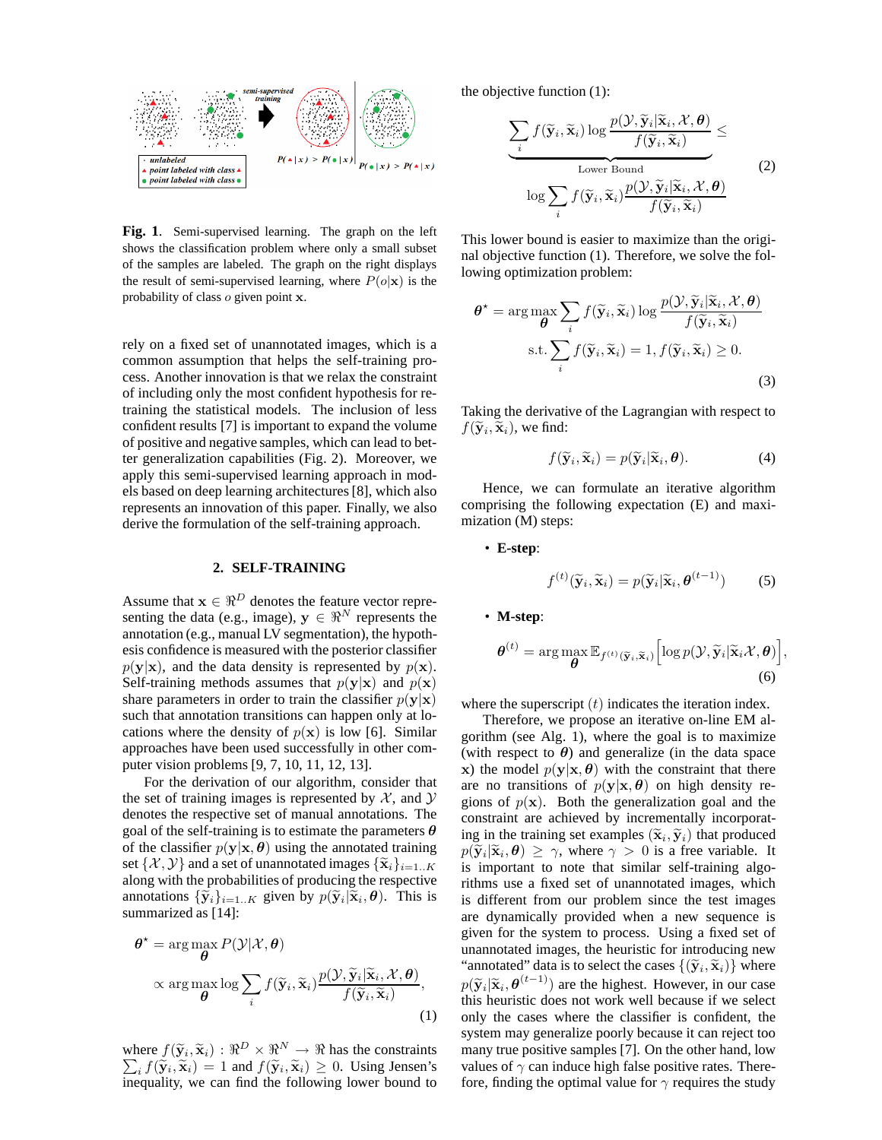

**Fig. 1**. Semi-supervised learning. The graph on the left shows the classification problem where only a small subset of the samples are labeled. The graph on the right displays the result of semi-supervised learning, where  $P(o|\mathbf{x})$  is the probability of class o given point x.

rely on a fixed set of unannotated images, which is a common assumption that helps the self-training process. Another innovation is that we relax the constraint of including only the most confident hypothesis for retraining the statistical models. The inclusion of less confident results [7] is important to expand the volume of positive and negative samples, which can lead to better generalization capabilities (Fig. 2). Moreover, we apply this semi-supervised learning approach in models based on deep learning architectures [8], which also represents an innovation of this paper. Finally, we also derive the formulation of the self-training approach.

## **2. SELF-TRAINING**

Assume that  $x \in \Re^D$  denotes the feature vector representing the data (e.g., image),  $y \in \Re^N$  represents the annotation (e.g., manual LV segmentation), the hypothesis confidence is measured with the posterior classifier  $p(\mathbf{y}|\mathbf{x})$ , and the data density is represented by  $p(\mathbf{x})$ . Self-training methods assumes that  $p(\mathbf{y}|\mathbf{x})$  and  $p(\mathbf{x})$ share parameters in order to train the classifier  $p(\mathbf{y}|\mathbf{x})$ such that annotation transitions can happen only at locations where the density of  $p(x)$  is low [6]. Similar approaches have been used successfully in other computer vision problems [9, 7, 10, 11, 12, 13].

For the derivation of our algorithm, consider that the set of training images is represented by  $\mathcal{X}$ , and  $\mathcal{Y}$ denotes the respective set of manual annotations. The goal of the self-training is to estimate the parameters  $\theta$ of the classifier  $p(y|x, \theta)$  using the annotated training set  $\{\mathcal{X}, \mathcal{Y}\}$  and a set of unannotated images  $\{\widetilde{\mathbf{x}}_i\}_{i=1..K}$ along with the probabilities of producing the respective annotations  $\{\hat{y}_i\}_{i=1..K}$  given by  $p(\tilde{y}_i|\tilde{x}_i, \theta)$ . This is summarized as [14]:

$$
\theta^* = \arg\max_{\theta} P(\mathcal{Y}|\mathcal{X}, \theta)
$$

$$
\propto \arg\max_{\theta} \log \sum_{i} f(\widetilde{\mathbf{y}}_i, \widetilde{\mathbf{x}}_i) \frac{p(\mathcal{Y}, \widetilde{\mathbf{y}}_i | \widetilde{\mathbf{x}}_i, \mathcal{X}, \theta)}{f(\widetilde{\mathbf{y}}_i, \widetilde{\mathbf{x}}_i)},
$$
(1)

where  $f(\widetilde{\mathbf{y}}_i, \widetilde{\mathbf{x}}_i) : \Re^D \times \Re^N \to \Re$  has the constraints  $\sum_i f(\tilde{\mathbf{y}}_i, \tilde{\mathbf{x}}_i) = 1$  and  $f(\tilde{\mathbf{y}}_i, \tilde{\mathbf{x}}_i) \geq 0$ . Using Jensen's inequality, we can find the following lower bound to the objective function (1):

$$
\underbrace{\sum_{i} f(\widetilde{\mathbf{y}}_i, \widetilde{\mathbf{x}}_i) \log \frac{p(\mathcal{Y}, \widetilde{\mathbf{y}}_i | \widetilde{\mathbf{x}}_i, \mathcal{X}, \boldsymbol{\theta})}{f(\widetilde{\mathbf{y}}_i, \widetilde{\mathbf{x}}_i)}_{\text{Lower Bound}} \leq \frac{\sum_{i} f(\widetilde{\mathbf{y}}_i, \widetilde{\mathbf{x}}_i) \frac{p(\mathcal{Y}, \widetilde{\mathbf{y}}_i | \widetilde{\mathbf{x}}_i, \mathcal{X}, \boldsymbol{\theta})}{f(\widetilde{\mathbf{y}}_i, \widetilde{\mathbf{x}}_i)} \qquad (2)
$$

This lower bound is easier to maximize than the original objective function (1). Therefore, we solve the following optimization problem:

$$
\theta^* = \arg \max_{\theta} \sum_{i} f(\widetilde{\mathbf{y}}_i, \widetilde{\mathbf{x}}_i) \log \frac{p(\mathcal{Y}, \widetilde{\mathbf{y}}_i | \widetilde{\mathbf{x}}_i, \mathcal{X}, \theta)}{f(\widetilde{\mathbf{y}}_i, \widetilde{\mathbf{x}}_i)}
$$
  
s.t. 
$$
\sum_{i} f(\widetilde{\mathbf{y}}_i, \widetilde{\mathbf{x}}_i) = 1, f(\widetilde{\mathbf{y}}_i, \widetilde{\mathbf{x}}_i) \ge 0.
$$
 (3)

Taking the derivative of the Lagrangian with respect to  $f(\widetilde{\mathbf{y}}_i, \widetilde{\mathbf{x}}_i)$ , we find:

$$
f(\widetilde{\mathbf{y}}_i, \widetilde{\mathbf{x}}_i) = p(\widetilde{\mathbf{y}}_i | \widetilde{\mathbf{x}}_i, \boldsymbol{\theta}). \tag{4}
$$

Hence, we can formulate an iterative algorithm comprising the following expectation (E) and maximization (M) steps:

• **E-step**:

$$
f^{(t)}(\widetilde{\mathbf{y}}_i, \widetilde{\mathbf{x}}_i) = p(\widetilde{\mathbf{y}}_i | \widetilde{\mathbf{x}}_i, \boldsymbol{\theta}^{(t-1)})
$$
(5)

,

• **M-step**:

$$
\boldsymbol{\theta}^{(t)} = \arg \max_{\boldsymbol{\theta}} \mathbb{E}_{f^{(t)}(\widetilde{\mathbf{y}}_i, \widetilde{\mathbf{x}}_i)} \left[ \log p(\mathcal{Y}, \widetilde{\mathbf{y}}_i | \widetilde{\mathbf{x}}_i \mathcal{X}, \boldsymbol{\theta}) \right]
$$
(6)

where the superscript  $(t)$  indicates the iteration index.

Therefore, we propose an iterative on-line EM algorithm (see Alg. 1), where the goal is to maximize (with respect to  $\theta$ ) and generalize (in the data space x) the model  $p(\mathbf{y}|\mathbf{x}, \theta)$  with the constraint that there are no transitions of  $p(y|x, \theta)$  on high density regions of  $p(x)$ . Both the generalization goal and the constraint are achieved by incrementally incorporating in the training set examples  $(\tilde{\mathbf{x}}_i, \tilde{\mathbf{y}}_i)$  that produced  $p(\widetilde{\mathbf{y}}_i|\widetilde{\mathbf{x}}_i,\boldsymbol{\theta}) \geq \gamma$ , where  $\gamma > 0$  is a free variable. It is important to note that similar self-training algorithms use a fixed set of unannotated images, which is different from our problem since the test images are dynamically provided when a new sequence is given for the system to process. Using a fixed set of unannotated images, the heuristic for introducing new "annotated" data is to select the cases  $\{(\widetilde{\mathbf{y}}_i, \widetilde{\mathbf{x}}_i)\}\$  where  $p(\widetilde{\mathbf{y}}_i | \widetilde{\mathbf{x}}_i, \boldsymbol{\theta}^{(t-1)})$  are the highest. However, in our case this heuristic does not work well because if we select only the cases where the classifier is confident, the system may generalize poorly because it can reject too many true positive samples [7]. On the other hand, low values of  $\gamma$  can induce high false positive rates. Therefore, finding the optimal value for  $\gamma$  requires the study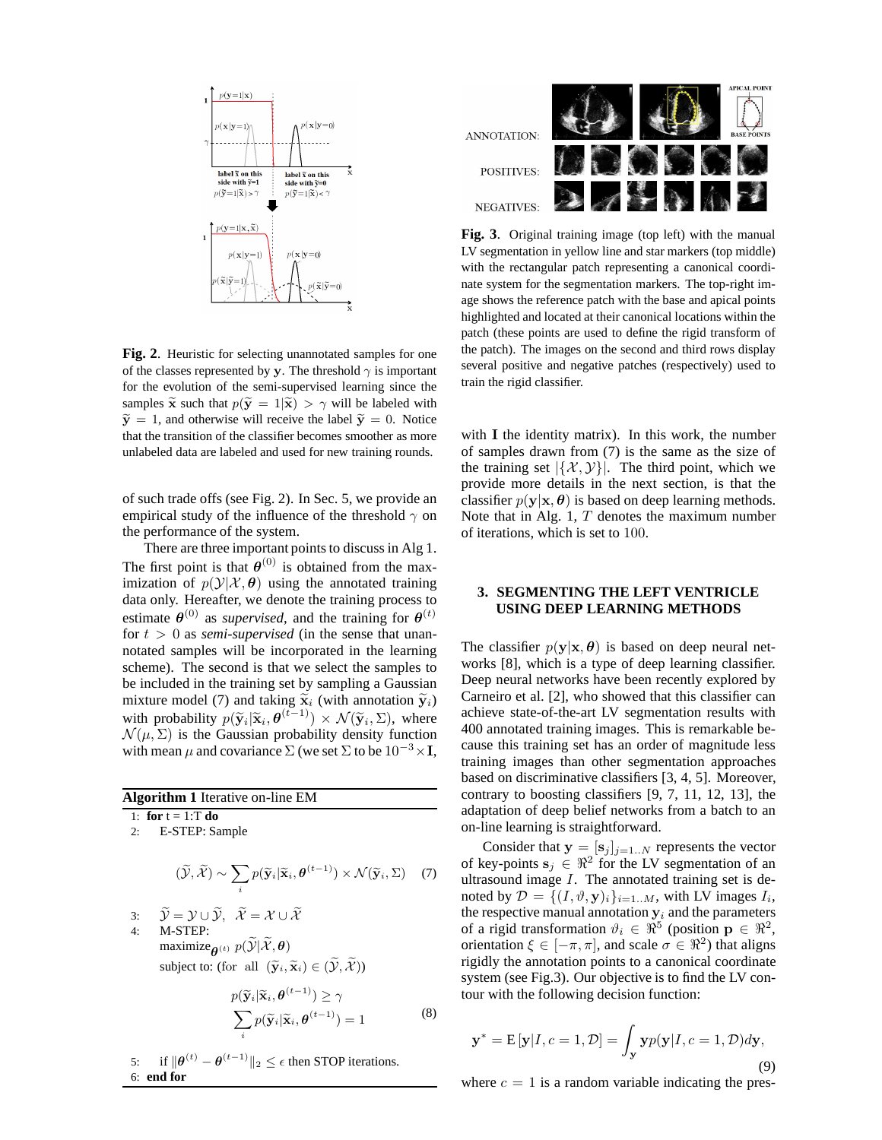

**Fig. 2**. Heuristic for selecting unannotated samples for one of the classes represented by y. The threshold  $\gamma$  is important for the evolution of the semi-supervised learning since the samples  $\tilde{\mathbf{x}}$  such that  $p(\tilde{\mathbf{y}} = 1|\tilde{\mathbf{x}}) > \gamma$  will be labeled with  $\widetilde{\mathbf{y}} = 1$ , and otherwise will receive the label  $\widetilde{\mathbf{y}} = 0$ . Notice that the transition of the classifier becomes smoother as more unlabeled data are labeled and used for new training rounds.

of such trade offs (see Fig. 2). In Sec. 5, we provide an empirical study of the influence of the threshold  $\gamma$  on the performance of the system.

There are three important points to discuss in Alg 1. The first point is that  $\boldsymbol{\theta}^{(0)}$  is obtained from the maximization of  $p(\mathcal{Y}|\mathcal{X}, \theta)$  using the annotated training data only. Hereafter, we denote the training process to estimate  $\boldsymbol{\theta}^{(0)}$  as *supervised*, and the training for  $\boldsymbol{\theta}^{(t)}$ for  $t > 0$  as *semi-supervised* (in the sense that unannotated samples will be incorporated in the learning scheme). The second is that we select the samples to be included in the training set by sampling a Gaussian mixture model (7) and taking  $\widetilde{\mathbf{x}}_i$  (with annotation  $\widetilde{\mathbf{y}}_i$ ) with probability  $p(\widetilde{\mathbf{y}}_i | \widetilde{\mathbf{x}}_i, \boldsymbol{\theta}^{(t-1)}) \times \mathcal{N}(\widetilde{\mathbf{y}}_i, \Sigma)$ , where  $\mathcal{N}(\mu, \Sigma)$  is the Gaussian probability density function with mean  $\mu$  and covariance  $\Sigma$  (we set  $\Sigma$  to be  $10^{-3} \times I$ ,

| Algorithm 1 Iterative on-line EM |  |  |
|----------------------------------|--|--|
|----------------------------------|--|--|

1: **for**  $t = 1:T$  **do** 

2: E-STEP: Sample

$$
(\widetilde{\mathcal{Y}}, \widetilde{\mathcal{X}}) \sim \sum_{i} p(\widetilde{\mathbf{y}}_i | \widetilde{\mathbf{x}}_i, \boldsymbol{\theta}^{(t-1)}) \times \mathcal{N}(\widetilde{\mathbf{y}}_i, \Sigma) \quad (7)
$$

3:  $\widetilde{\mathcal{Y}} = \mathcal{Y} \cup \widetilde{\mathcal{Y}}$ ,  $\widetilde{\mathcal{X}} = \mathcal{X} \cup \widetilde{\mathcal{X}}$ <br>4: M-STEP: M-STEP: maximize $_{\boldsymbol{\theta}^{(t)}} p(\widetilde{\mathcal{Y}} | \widetilde{\mathcal{X}}, \boldsymbol{\theta})$ subject to: (for all  $(\widetilde{\mathbf{y}}_i, \widetilde{\mathbf{x}}_i) \in (\widetilde{\mathcal{Y}}, \widetilde{\mathcal{X}})$ )

$$
p(\widetilde{\mathbf{y}}_i | \widetilde{\mathbf{x}}_i, \boldsymbol{\theta}^{(t-1)}) \ge \gamma
$$
  

$$
\sum_i p(\widetilde{\mathbf{y}}_i | \widetilde{\mathbf{x}}_i, \boldsymbol{\theta}^{(t-1)}) = 1
$$
 (8)

5: if  $\|\boldsymbol{\theta}^{(t)} - \boldsymbol{\theta}^{(t-1)}\|_2 \leq \epsilon$  then STOP iterations. 6: **end for**



**Fig. 3**. Original training image (top left) with the manual LV segmentation in yellow line and star markers (top middle) with the rectangular patch representing a canonical coordinate system for the segmentation markers. The top-right image shows the reference patch with the base and apical points highlighted and located at their canonical locations within the patch (these points are used to define the rigid transform of the patch). The images on the second and third rows display several positive and negative patches (respectively) used to train the rigid classifier.

with I the identity matrix). In this work, the number of samples drawn from (7) is the same as the size of the training set  $|\{\mathcal{X}, \mathcal{Y}\}|$ . The third point, which we provide more details in the next section, is that the classifier  $p(\mathbf{y}|\mathbf{x}, \boldsymbol{\theta})$  is based on deep learning methods. Note that in Alg. 1,  $T$  denotes the maximum number of iterations, which is set to 100.

## **3. SEGMENTING THE LEFT VENTRICLE USING DEEP LEARNING METHODS**

The classifier  $p(y|x, \theta)$  is based on deep neural networks [8], which is a type of deep learning classifier. Deep neural networks have been recently explored by Carneiro et al. [2], who showed that this classifier can achieve state-of-the-art LV segmentation results with 400 annotated training images. This is remarkable because this training set has an order of magnitude less training images than other segmentation approaches based on discriminative classifiers [3, 4, 5]. Moreover, contrary to boosting classifiers [9, 7, 11, 12, 13], the adaptation of deep belief networks from a batch to an on-line learning is straightforward.

Consider that  $y = [s_j]_{j=1..N}$  represents the vector of key-points  $s_j \in \Re^2$  for the LV segmentation of an ultrasound image  $I$ . The annotated training set is denoted by  $\mathcal{D} = \{ (I, \vartheta, \mathbf{y})_i \}_{i=1..M}$ , with LV images  $I_i$ , the respective manual annotation  $y_i$  and the parameters of a rigid transformation  $\vartheta_i \in \Re^5$  (position  $\mathbf{p} \in \Re^2$ , orientation  $\xi \in [-\pi, \pi]$ , and scale  $\sigma \in \Re^2$ ) that aligns rigidly the annotation points to a canonical coordinate system (see Fig.3). Our objective is to find the LV contour with the following decision function:

$$
\mathbf{y}^* = \mathbf{E}\left[\mathbf{y}|I, c=1, \mathcal{D}\right] = \int_{\mathbf{y}} \mathbf{y} p(\mathbf{y}|I, c=1, \mathcal{D}) d\mathbf{y},\tag{9}
$$

where  $c = 1$  is a random variable indicating the pres-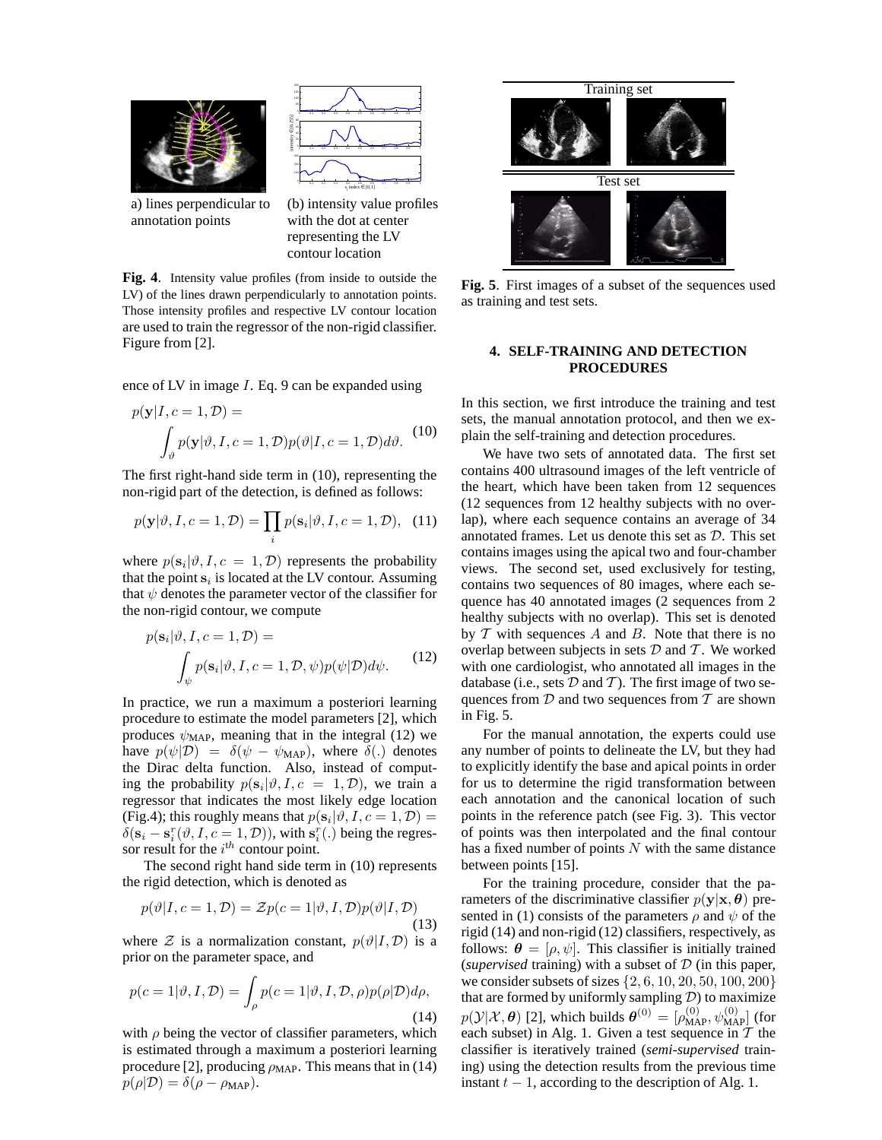



a) lines perpendicular to (b) intensity value profiles annotation points with the dot at center

representing the LV contour location

**Fig. 4**. Intensity value profiles (from inside to outside the LV) of the lines drawn perpendicularly to annotation points. Those intensity profiles and respective LV contour location are used to train the regressor of the non-rigid classifier. Figure from [2].

ence of LV in image I. Eq. 9 can be expanded using

$$
p(\mathbf{y}|I, c = 1, \mathcal{D}) =
$$

$$
\int_{\vartheta} p(\mathbf{y}|\vartheta, I, c = 1, \mathcal{D}) p(\vartheta | I, c = 1, \mathcal{D}) d\vartheta.
$$
 (10)

The first right-hand side term in (10), representing the non-rigid part of the detection, is defined as follows:

$$
p(\mathbf{y}|\vartheta, I, c = 1, \mathcal{D}) = \prod_{i} p(\mathbf{s}_i|\vartheta, I, c = 1, \mathcal{D}), \quad (11)
$$

where  $p(\mathbf{s}_i|\vartheta, I, c = 1, \mathcal{D})$  represents the probability that the point  $s_i$  is located at the LV contour. Assuming that  $\psi$  denotes the parameter vector of the classifier for the non-rigid contour, we compute

$$
p(\mathbf{s}_i|\vartheta, I, c = 1, \mathcal{D}) =
$$

$$
\int_{\psi} p(\mathbf{s}_i|\vartheta, I, c = 1, \mathcal{D}, \psi) p(\psi|\mathcal{D}) d\psi.
$$
 (12)

In practice, we run a maximum a posteriori learning procedure to estimate the model parameters [2], which produces  $\psi_{MAP}$ , meaning that in the integral (12) we have  $p(\psi|\mathcal{D}) = \delta(\psi - \psi_{MAP})$ , where  $\delta(.)$  denotes the Dirac delta function. Also, instead of computing the probability  $p(\mathbf{s}_i|\theta, I, c = 1, \mathcal{D})$ , we train a regressor that indicates the most likely edge location (Fig.4); this roughly means that  $p(\mathbf{s}_i|\vartheta, I, c = 1, \mathcal{D}) =$  $\delta(\mathbf{s}_i - \mathbf{s}_i^r(\vartheta, I, c = 1, \mathcal{D}))$ , with  $\mathbf{s}_i^r(.)$  being the regressor result for the  $i^{th}$  contour point.

The second right hand side term in (10) represents the rigid detection, which is denoted as

$$
p(\vartheta|I, c=1, \mathcal{D}) = \mathcal{Z}p(c=1|\vartheta, I, \mathcal{D})p(\vartheta|I, \mathcal{D})
$$
\n(13)

where  $\mathcal Z$  is a normalization constant,  $p(\vartheta | I, \mathcal D)$  is a prior on the parameter space, and

$$
p(c=1|\vartheta, I, \mathcal{D}) = \int_{\rho} p(c=1|\vartheta, I, \mathcal{D}, \rho) p(\rho|\mathcal{D}) d\rho,
$$
\n(14)

with  $\rho$  being the vector of classifier parameters, which is estimated through a maximum a posteriori learning procedure [2], producing  $\rho_{MAP}$ . This means that in (14)  $p(\rho|\mathcal{D}) = \delta(\rho - \rho_{\text{MAP}}).$ 



**Fig. 5**. First images of a subset of the sequences used as training and test sets.

## **4. SELF-TRAINING AND DETECTION PROCEDURES**

In this section, we first introduce the training and test sets, the manual annotation protocol, and then we explain the self-training and detection procedures.

We have two sets of annotated data. The first set contains 400 ultrasound images of the left ventricle of the heart, which have been taken from 12 sequences (12 sequences from 12 healthy subjects with no overlap), where each sequence contains an average of 34 annotated frames. Let us denote this set as  $D$ . This set contains images using the apical two and four-chamber views. The second set, used exclusively for testing, contains two sequences of 80 images, where each sequence has 40 annotated images (2 sequences from 2 healthy subjects with no overlap). This set is denoted by  $T$  with sequences  $A$  and  $B$ . Note that there is no overlap between subjects in sets  $D$  and  $T$ . We worked with one cardiologist, who annotated all images in the database (i.e., sets  $D$  and  $T$ ). The first image of two sequences from  $D$  and two sequences from  $T$  are shown in Fig. 5.

For the manual annotation, the experts could use any number of points to delineate the LV, but they had to explicitly identify the base and apical points in order for us to determine the rigid transformation between each annotation and the canonical location of such points in the reference patch (see Fig. 3). This vector of points was then interpolated and the final contour has a fixed number of points  $N$  with the same distance between points [15].

For the training procedure, consider that the parameters of the discriminative classifier  $p(\mathbf{y}|\mathbf{x}, \boldsymbol{\theta})$  presented in (1) consists of the parameters  $\rho$  and  $\psi$  of the rigid (14) and non-rigid (12) classifiers, respectively, as follows:  $\theta = [\rho, \psi]$ . This classifier is initially trained (*supervised* training) with a subset of  $D$  (in this paper, we consider subsets of sizes {2, 6, 10, 20, 50, 100, 200} that are formed by uniformly sampling  $D$ ) to maximize  $p(\mathcal{Y}|\mathcal{X}, \theta)$  [2], which builds  $\bm{\theta}^{(0)} = [\rho^{(0)}_{\text{MAP}}, \psi^{(0)}_{\text{MAP}}]$  (for each subset) in Alg. 1. Given a test sequence in  $T$  the classifier is iteratively trained (*semi-supervised* training) using the detection results from the previous time instant  $t - 1$ , according to the description of Alg. 1.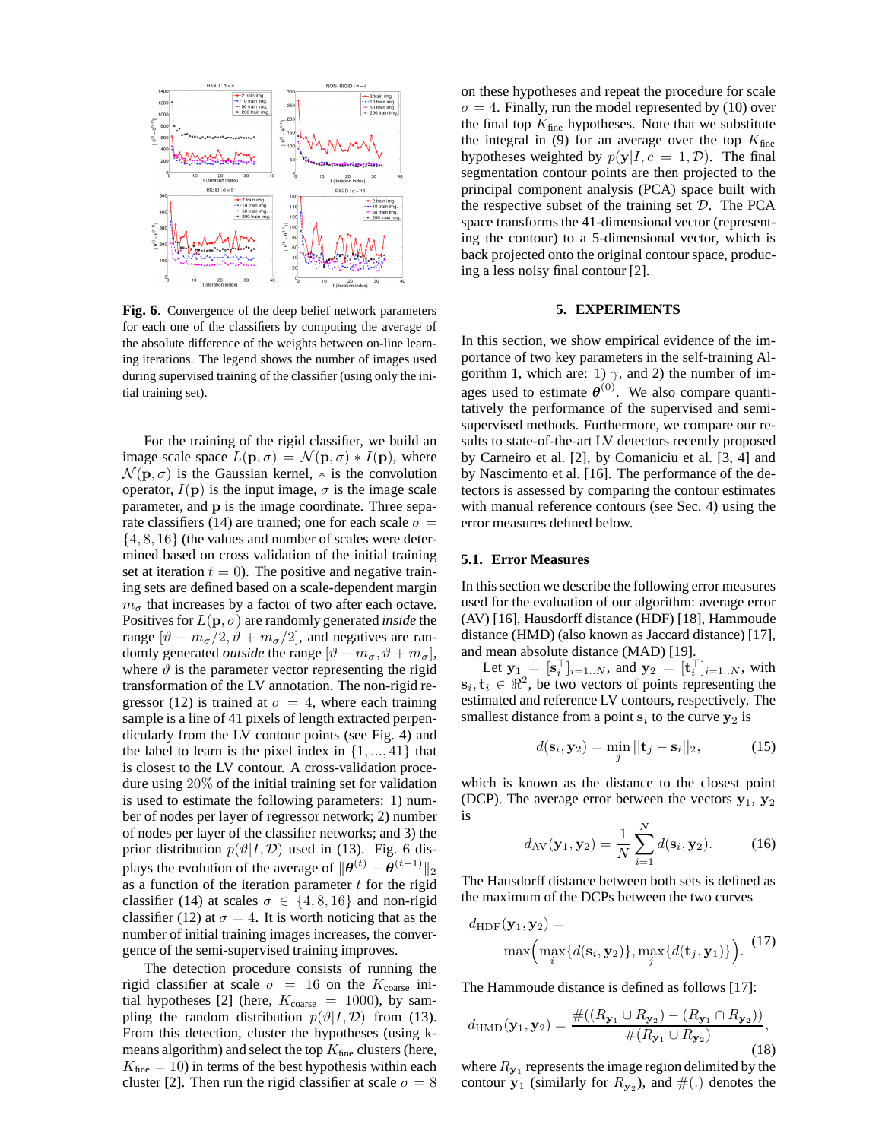

**Fig. 6**. Convergence of the deep belief network parameters for each one of the classifiers by computing the average of the absolute difference of the weights between on-line learning iterations. The legend shows the number of images used during supervised training of the classifier (using only the initial training set).

For the training of the rigid classifier, we build an image scale space  $L(\mathbf{p}, \sigma) = \mathcal{N}(\mathbf{p}, \sigma) * I(\mathbf{p})$ , where  $\mathcal{N}(\mathbf{p}, \sigma)$  is the Gaussian kernel,  $*$  is the convolution operator,  $I(\mathbf{p})$  is the input image,  $\sigma$  is the image scale parameter, and p is the image coordinate. Three separate classifiers (14) are trained; one for each scale  $\sigma =$  $\{4, 8, 16\}$  (the values and number of scales were determined based on cross validation of the initial training set at iteration  $t = 0$ ). The positive and negative training sets are defined based on a scale-dependent margin  $m_{\sigma}$  that increases by a factor of two after each octave. Positives for  $L(\mathbf{p}, \sigma)$  are randomly generated *inside* the range  $[\vartheta - m_{\sigma}/2, \vartheta + m_{\sigma}/2]$ , and negatives are randomly generated *outside* the range  $[\vartheta - m_{\sigma}, \vartheta + m_{\sigma}],$ where  $\vartheta$  is the parameter vector representing the rigid transformation of the LV annotation. The non-rigid regressor (12) is trained at  $\sigma = 4$ , where each training sample is a line of 41 pixels of length extracted perpendicularly from the LV contour points (see Fig. 4) and the label to learn is the pixel index in  $\{1, ..., 41\}$  that is closest to the LV contour. A cross-validation procedure using 20% of the initial training set for validation is used to estimate the following parameters: 1) number of nodes per layer of regressor network; 2) number of nodes per layer of the classifier networks; and 3) the prior distribution  $p(\vartheta | I, \mathcal{D})$  used in (13). Fig. 6 displays the evolution of the average of  $\|\boldsymbol{\theta}^{(t)} - \boldsymbol{\theta}^{(t-1)}\|_2$ as a function of the iteration parameter  $t$  for the rigid classifier (14) at scales  $\sigma \in \{4, 8, 16\}$  and non-rigid classifier (12) at  $\sigma = 4$ . It is worth noticing that as the number of initial training images increases, the convergence of the semi-supervised training improves.

The detection procedure consists of running the rigid classifier at scale  $\sigma = 16$  on the  $K_{\text{coarse}}$  initial hypotheses [2] (here,  $K_{\text{coarse}} = 1000$ ), by sampling the random distribution  $p(\vartheta | I, \mathcal{D})$  from (13). From this detection, cluster the hypotheses (using kmeans algorithm) and select the top  $K_{\text{fine}}$  clusters (here,  $K_{\text{fine}} = 10$ ) in terms of the best hypothesis within each cluster [2]. Then run the rigid classifier at scale  $\sigma = 8$  on these hypotheses and repeat the procedure for scale  $\sigma = 4$ . Finally, run the model represented by (10) over the final top  $K_{\text{fine}}$  hypotheses. Note that we substitute the integral in (9) for an average over the top  $K_{\text{fine}}$ hypotheses weighted by  $p(\mathbf{y}|I, c = 1, \mathcal{D})$ . The final segmentation contour points are then projected to the principal component analysis (PCA) space built with the respective subset of the training set  $D$ . The PCA space transforms the 41-dimensional vector (representing the contour) to a 5-dimensional vector, which is back projected onto the original contour space, producing a less noisy final contour [2].

## **5. EXPERIMENTS**

In this section, we show empirical evidence of the importance of two key parameters in the self-training Algorithm 1, which are: 1)  $\gamma$ , and 2) the number of images used to estimate  $\boldsymbol{\theta}^{(0)}$ . We also compare quantitatively the performance of the supervised and semisupervised methods. Furthermore, we compare our results to state-of-the-art LV detectors recently proposed by Carneiro et al. [2], by Comaniciu et al. [3, 4] and by Nascimento et al. [16]. The performance of the detectors is assessed by comparing the contour estimates with manual reference contours (see Sec. 4) using the error measures defined below.

## **5.1. Error Measures**

In this section we describe the following error measures used for the evaluation of our algorithm: average error (AV) [16], Hausdorff distance (HDF) [18], Hammoude distance (HMD) (also known as Jaccard distance) [17], and mean absolute distance (MAD) [19].

Let  $y_1 = [s_i^{\top}]_{i=1..N}$ , and  $y_2 = [t_i^{\top}]_{i=1..N}$ , with  $s_i, t_i \in \Re^2$ , be two vectors of points representing the estimated and reference LV contours, respectively. The smallest distance from a point  $s_i$  to the curve  $y_2$  is

$$
d(\mathbf{s}_i, \mathbf{y}_2) = \min_j ||\mathbf{t}_j - \mathbf{s}_i||_2, \tag{15}
$$

which is known as the distance to the closest point (DCP). The average error between the vectors  $y_1, y_2$ is

$$
d_{\rm AV}(\mathbf{y}_1, \mathbf{y}_2) = \frac{1}{N} \sum_{i=1}^{N} d(\mathbf{s}_i, \mathbf{y}_2).
$$
 (16)

The Hausdorff distance between both sets is defined as the maximum of the DCPs between the two curves

$$
d_{\text{HDF}}(\mathbf{y}_1, \mathbf{y}_2) = \max\left(\max_i \{d(\mathbf{s}_i, \mathbf{y}_2)\}, \max_j \{d(\mathbf{t}_j, \mathbf{y}_1)\}\right). (17)
$$

The Hammoude distance is defined as follows [17]:

$$
d_{\rm HMD}(\mathbf{y}_1, \mathbf{y}_2) = \frac{\#((R_{\mathbf{y}_1} \cup R_{\mathbf{y}_2}) - (R_{\mathbf{y}_1} \cap R_{\mathbf{y}_2}))}{\#(R_{\mathbf{y}_1} \cup R_{\mathbf{y}_2})},
$$
(18)

where  $R_{y_1}$  represents the image region delimited by the contour  $y_1$  (similarly for  $R_{y_2}$ ), and  $\#(.)$  denotes the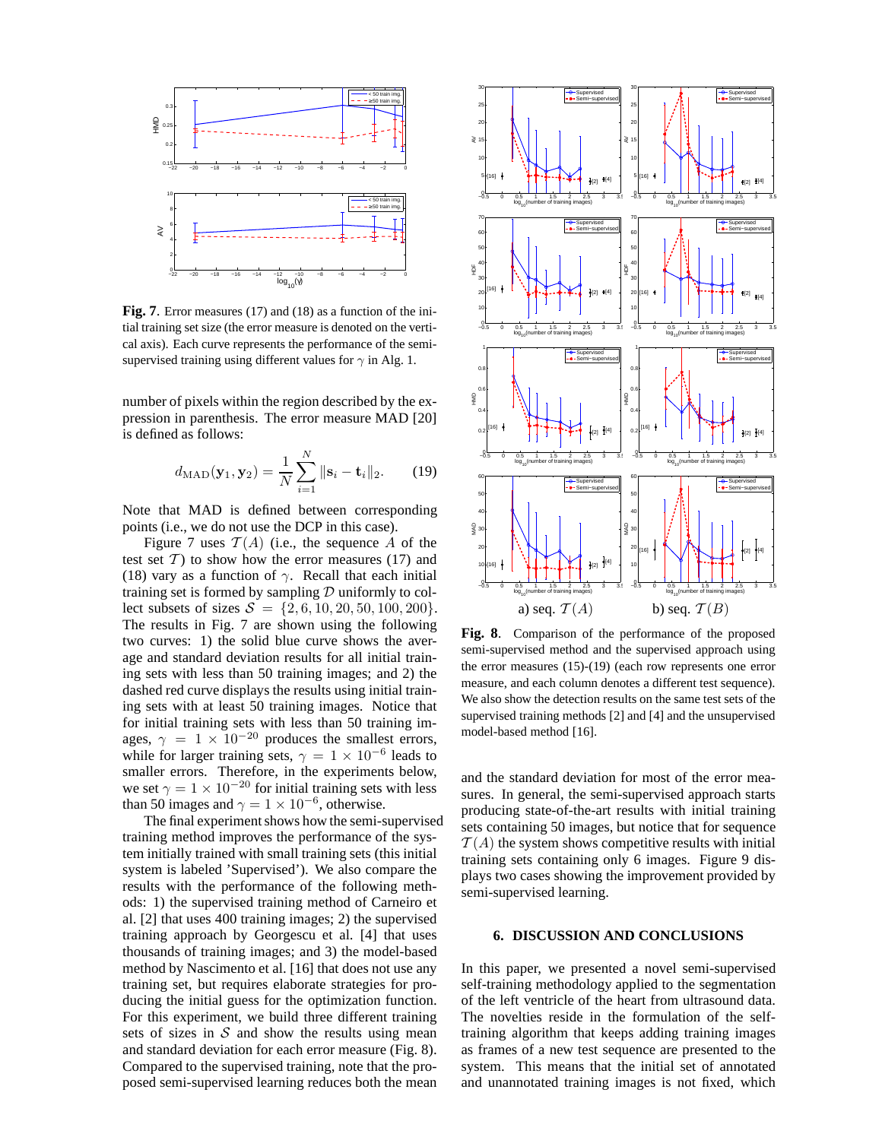

**Fig. 7**. Error measures (17) and (18) as a function of the initial training set size (the error measure is denoted on the vertical axis). Each curve represents the performance of the semisupervised training using different values for  $\gamma$  in Alg. 1.

number of pixels within the region described by the expression in parenthesis. The error measure MAD [20] is defined as follows:

$$
d_{\text{MAD}}(\mathbf{y}_1, \mathbf{y}_2) = \frac{1}{N} \sum_{i=1}^{N} ||\mathbf{s}_i - \mathbf{t}_i||_2.
$$
 (19)

Note that MAD is defined between corresponding points (i.e., we do not use the DCP in this case).

Figure 7 uses  $T(A)$  (i.e., the sequence A of the test set  $T$ ) to show how the error measures (17) and (18) vary as a function of  $\gamma$ . Recall that each initial training set is formed by sampling  $D$  uniformly to collect subsets of sizes  $S = \{2, 6, 10, 20, 50, 100, 200\}.$ The results in Fig. 7 are shown using the following two curves: 1) the solid blue curve shows the average and standard deviation results for all initial training sets with less than 50 training images; and 2) the dashed red curve displays the results using initial training sets with at least 50 training images. Notice that for initial training sets with less than 50 training images,  $\gamma = 1 \times 10^{-20}$  produces the smallest errors, while for larger training sets,  $\gamma = 1 \times 10^{-6}$  leads to smaller errors. Therefore, in the experiments below, we set  $\gamma = 1 \times 10^{-20}$  for initial training sets with less than 50 images and  $\gamma = 1 \times 10^{-6}$ , otherwise.

The final experiment shows how the semi-supervised training method improves the performance of the system initially trained with small training sets (this initial system is labeled 'Supervised'). We also compare the results with the performance of the following methods: 1) the supervised training method of Carneiro et al. [2] that uses 400 training images; 2) the supervised training approach by Georgescu et al. [4] that uses thousands of training images; and 3) the model-based method by Nascimento et al. [16] that does not use any training set, but requires elaborate strategies for producing the initial guess for the optimization function. For this experiment, we build three different training sets of sizes in  $S$  and show the results using mean and standard deviation for each error measure (Fig. 8). Compared to the supervised training, note that the proposed semi-supervised learning reduces both the mean



**Fig. 8**. Comparison of the performance of the proposed semi-supervised method and the supervised approach using the error measures (15)-(19) (each row represents one error measure, and each column denotes a different test sequence). We also show the detection results on the same test sets of the supervised training methods [2] and [4] and the unsupervised model-based method [16].

and the standard deviation for most of the error measures. In general, the semi-supervised approach starts producing state-of-the-art results with initial training sets containing 50 images, but notice that for sequence  $T(A)$  the system shows competitive results with initial training sets containing only 6 images. Figure 9 displays two cases showing the improvement provided by semi-supervised learning.

## **6. DISCUSSION AND CONCLUSIONS**

In this paper, we presented a novel semi-supervised self-training methodology applied to the segmentation of the left ventricle of the heart from ultrasound data. The novelties reside in the formulation of the selftraining algorithm that keeps adding training images as frames of a new test sequence are presented to the system. This means that the initial set of annotated and unannotated training images is not fixed, which